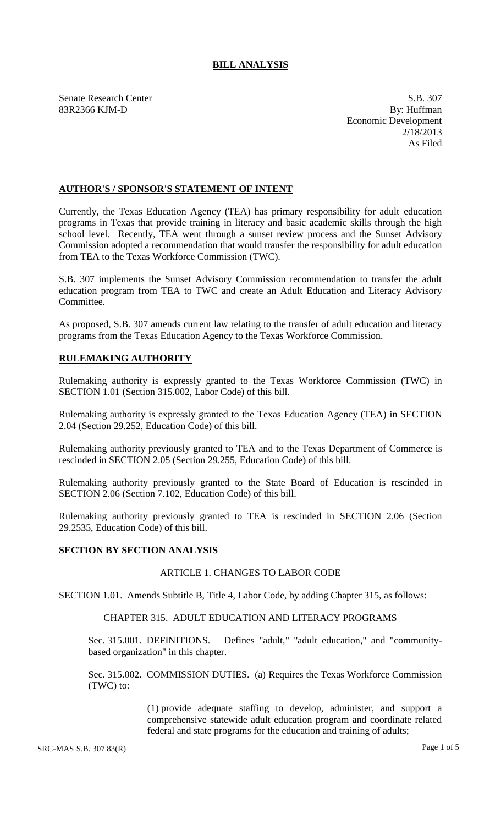## **BILL ANALYSIS**

Senate Research Center S.B. 307

83R2366 KJM-D By: Huffman Economic Development 2/18/2013 As Filed

## **AUTHOR'S / SPONSOR'S STATEMENT OF INTENT**

Currently, the Texas Education Agency (TEA) has primary responsibility for adult education programs in Texas that provide training in literacy and basic academic skills through the high school level. Recently, TEA went through a sunset review process and the Sunset Advisory Commission adopted a recommendation that would transfer the responsibility for adult education from TEA to the Texas Workforce Commission (TWC).

S.B. 307 implements the Sunset Advisory Commission recommendation to transfer the adult education program from TEA to TWC and create an Adult Education and Literacy Advisory Committee.

As proposed, S.B. 307 amends current law relating to the transfer of adult education and literacy programs from the Texas Education Agency to the Texas Workforce Commission.

# **RULEMAKING AUTHORITY**

Rulemaking authority is expressly granted to the Texas Workforce Commission (TWC) in SECTION 1.01 (Section 315.002, Labor Code) of this bill.

Rulemaking authority is expressly granted to the Texas Education Agency (TEA) in SECTION 2.04 (Section 29.252, Education Code) of this bill.

Rulemaking authority previously granted to TEA and to the Texas Department of Commerce is rescinded in SECTION 2.05 (Section 29.255, Education Code) of this bill.

Rulemaking authority previously granted to the State Board of Education is rescinded in SECTION 2.06 (Section 7.102, Education Code) of this bill.

Rulemaking authority previously granted to TEA is rescinded in SECTION 2.06 (Section 29.2535, Education Code) of this bill.

## **SECTION BY SECTION ANALYSIS**

## ARTICLE 1. CHANGES TO LABOR CODE

SECTION 1.01. Amends Subtitle B, Title 4, Labor Code, by adding Chapter 315, as follows:

#### CHAPTER 315. ADULT EDUCATION AND LITERACY PROGRAMS

Sec. 315.001. DEFINITIONS. Defines "adult," "adult education," and "communitybased organization" in this chapter.

Sec. 315.002. COMMISSION DUTIES. (a) Requires the Texas Workforce Commission (TWC) to:

> (1) provide adequate staffing to develop, administer, and support a comprehensive statewide adult education program and coordinate related federal and state programs for the education and training of adults;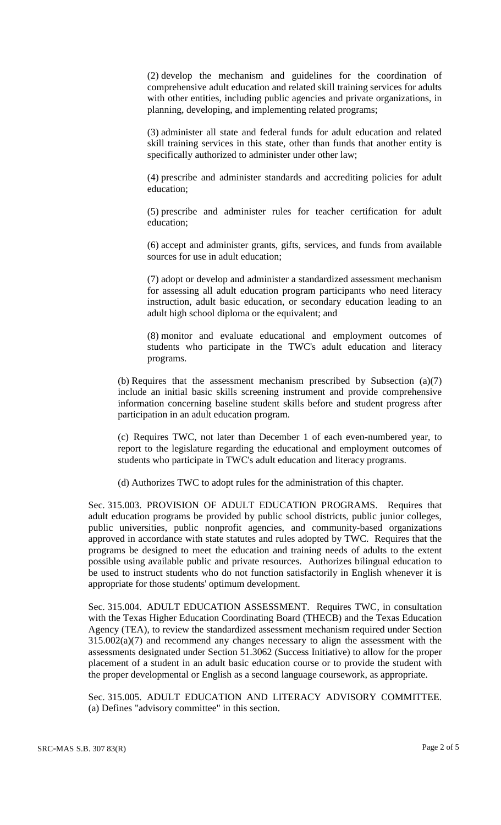(2) develop the mechanism and guidelines for the coordination of comprehensive adult education and related skill training services for adults with other entities, including public agencies and private organizations, in planning, developing, and implementing related programs;

(3) administer all state and federal funds for adult education and related skill training services in this state, other than funds that another entity is specifically authorized to administer under other law;

(4) prescribe and administer standards and accrediting policies for adult education;

(5) prescribe and administer rules for teacher certification for adult education;

(6) accept and administer grants, gifts, services, and funds from available sources for use in adult education;

(7) adopt or develop and administer a standardized assessment mechanism for assessing all adult education program participants who need literacy instruction, adult basic education, or secondary education leading to an adult high school diploma or the equivalent; and

(8) monitor and evaluate educational and employment outcomes of students who participate in the TWC's adult education and literacy programs.

(b) Requires that the assessment mechanism prescribed by Subsection (a)(7) include an initial basic skills screening instrument and provide comprehensive information concerning baseline student skills before and student progress after participation in an adult education program.

(c) Requires TWC, not later than December 1 of each even-numbered year, to report to the legislature regarding the educational and employment outcomes of students who participate in TWC's adult education and literacy programs.

(d) Authorizes TWC to adopt rules for the administration of this chapter.

Sec. 315.003. PROVISION OF ADULT EDUCATION PROGRAMS. Requires that adult education programs be provided by public school districts, public junior colleges, public universities, public nonprofit agencies, and community-based organizations approved in accordance with state statutes and rules adopted by TWC. Requires that the programs be designed to meet the education and training needs of adults to the extent possible using available public and private resources. Authorizes bilingual education to be used to instruct students who do not function satisfactorily in English whenever it is appropriate for those students' optimum development.

Sec. 315.004. ADULT EDUCATION ASSESSMENT. Requires TWC, in consultation with the Texas Higher Education Coordinating Board (THECB) and the Texas Education Agency (TEA), to review the standardized assessment mechanism required under Section  $315.002(a)(7)$  and recommend any changes necessary to align the assessment with the assessments designated under Section 51.3062 (Success Initiative) to allow for the proper placement of a student in an adult basic education course or to provide the student with the proper developmental or English as a second language coursework, as appropriate.

Sec. 315.005. ADULT EDUCATION AND LITERACY ADVISORY COMMITTEE. (a) Defines "advisory committee" in this section.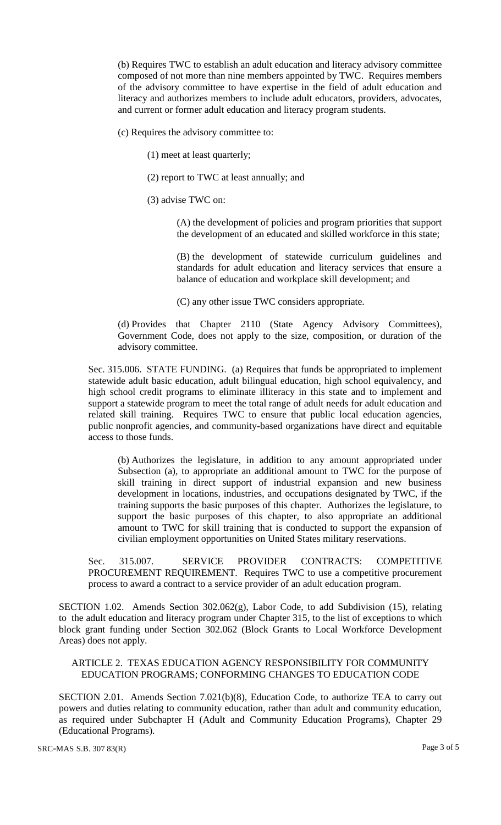(b) Requires TWC to establish an adult education and literacy advisory committee composed of not more than nine members appointed by TWC. Requires members of the advisory committee to have expertise in the field of adult education and literacy and authorizes members to include adult educators, providers, advocates, and current or former adult education and literacy program students.

(c) Requires the advisory committee to:

- (1) meet at least quarterly;
- (2) report to TWC at least annually; and
- (3) advise TWC on:

(A) the development of policies and program priorities that support the development of an educated and skilled workforce in this state;

(B) the development of statewide curriculum guidelines and standards for adult education and literacy services that ensure a balance of education and workplace skill development; and

(C) any other issue TWC considers appropriate.

(d) Provides that Chapter 2110 (State Agency Advisory Committees), Government Code, does not apply to the size, composition, or duration of the advisory committee.

Sec. 315.006. STATE FUNDING. (a) Requires that funds be appropriated to implement statewide adult basic education, adult bilingual education, high school equivalency, and high school credit programs to eliminate illiteracy in this state and to implement and support a statewide program to meet the total range of adult needs for adult education and related skill training. Requires TWC to ensure that public local education agencies, public nonprofit agencies, and community-based organizations have direct and equitable access to those funds.

(b) Authorizes the legislature, in addition to any amount appropriated under Subsection (a), to appropriate an additional amount to TWC for the purpose of skill training in direct support of industrial expansion and new business development in locations, industries, and occupations designated by TWC, if the training supports the basic purposes of this chapter. Authorizes the legislature, to support the basic purposes of this chapter, to also appropriate an additional amount to TWC for skill training that is conducted to support the expansion of civilian employment opportunities on United States military reservations.

Sec. 315.007. SERVICE PROVIDER CONTRACTS: COMPETITIVE PROCUREMENT REQUIREMENT. Requires TWC to use a competitive procurement process to award a contract to a service provider of an adult education program.

SECTION 1.02. Amends Section 302.062(g), Labor Code, to add Subdivision (15), relating to the adult education and literacy program under Chapter 315, to the list of exceptions to which block grant funding under Section 302.062 (Block Grants to Local Workforce Development Areas) does not apply.

## ARTICLE 2. TEXAS EDUCATION AGENCY RESPONSIBILITY FOR COMMUNITY EDUCATION PROGRAMS; CONFORMING CHANGES TO EDUCATION CODE

SECTION 2.01. Amends Section 7.021(b)(8), Education Code, to authorize TEA to carry out powers and duties relating to community education, rather than adult and community education, as required under Subchapter H (Adult and Community Education Programs), Chapter 29 (Educational Programs).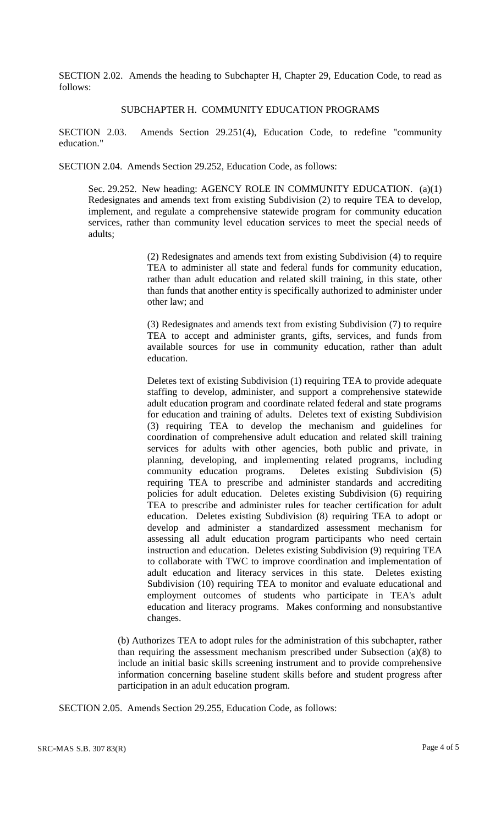SECTION 2.02. Amends the heading to Subchapter H, Chapter 29, Education Code, to read as follows:

#### SUBCHAPTER H. COMMUNITY EDUCATION PROGRAMS

SECTION 2.03. Amends Section 29.251(4), Education Code, to redefine "community education."

SECTION 2.04. Amends Section 29.252, Education Code, as follows:

Sec. 29.252. New heading: AGENCY ROLE IN COMMUNITY EDUCATION. (a)(1) Redesignates and amends text from existing Subdivision (2) to require TEA to develop, implement, and regulate a comprehensive statewide program for community education services, rather than community level education services to meet the special needs of adults;

> (2) Redesignates and amends text from existing Subdivision (4) to require TEA to administer all state and federal funds for community education, rather than adult education and related skill training, in this state, other than funds that another entity is specifically authorized to administer under other law; and

> (3) Redesignates and amends text from existing Subdivision (7) to require TEA to accept and administer grants, gifts, services, and funds from available sources for use in community education, rather than adult education.

> Deletes text of existing Subdivision (1) requiring TEA to provide adequate staffing to develop, administer, and support a comprehensive statewide adult education program and coordinate related federal and state programs for education and training of adults. Deletes text of existing Subdivision (3) requiring TEA to develop the mechanism and guidelines for coordination of comprehensive adult education and related skill training services for adults with other agencies, both public and private, in planning, developing, and implementing related programs, including community education programs. Deletes existing Subdivision (5) requiring TEA to prescribe and administer standards and accrediting policies for adult education. Deletes existing Subdivision (6) requiring TEA to prescribe and administer rules for teacher certification for adult education. Deletes existing Subdivision (8) requiring TEA to adopt or develop and administer a standardized assessment mechanism for assessing all adult education program participants who need certain instruction and education. Deletes existing Subdivision (9) requiring TEA to collaborate with TWC to improve coordination and implementation of adult education and literacy services in this state. Deletes existing Subdivision (10) requiring TEA to monitor and evaluate educational and employment outcomes of students who participate in TEA's adult education and literacy programs. Makes conforming and nonsubstantive changes.

(b) Authorizes TEA to adopt rules for the administration of this subchapter, rather than requiring the assessment mechanism prescribed under Subsection (a)(8) to include an initial basic skills screening instrument and to provide comprehensive information concerning baseline student skills before and student progress after participation in an adult education program.

SECTION 2.05. Amends Section 29.255, Education Code, as follows: